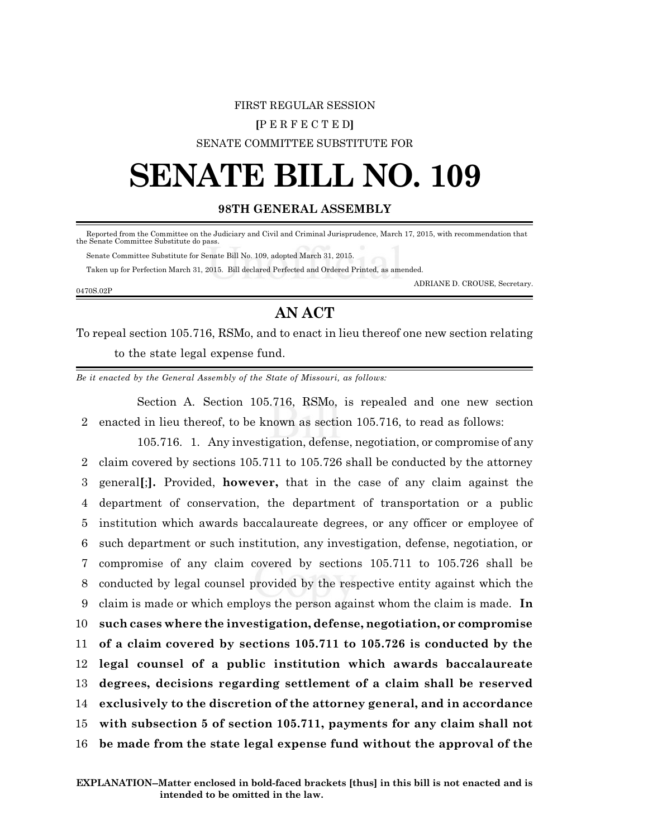## FIRST REGULAR SESSION **[**P E R F E C T E D**]** SENATE COMMITTEE SUBSTITUTE FOR

## **SENATE BILL NO. 109**

## **98TH GENERAL ASSEMBLY**

 Reported from the Committee on the Judiciary and Civil and Criminal Jurisprudence, March 17, 2015, with recommendation that the Senate Committee Substitute do pass.

Senate Committee Substitute for Senate Bill No. 109, adopted March 31, 2015.

Taken up for Perfection March 31, 2015. Bill declared Perfected and Ordered Printed, as amended.

0470S.02P

ADRIANE D. CROUSE, Secretary.

## **AN ACT**

To repeal section 105.716, RSMo, and to enact in lieu thereof one new section relating to the state legal expense fund.

*Be it enacted by the General Assembly of the State of Missouri, as follows:*

Section A. Section 105.716, RSMo, is repealed and one new section 2 enacted in lieu thereof, to be known as section 105.716, to read as follows:

105.716. 1. Any investigation, defense, negotiation, or compromise of any claim covered by sections 105.711 to 105.726 shall be conducted by the attorney general**[**;**].** Provided, **however,** that in the case of any claim against the department of conservation, the department of transportation or a public institution which awards baccalaureate degrees, or any officer or employee of such department or such institution, any investigation, defense, negotiation, or compromise of any claim covered by sections 105.711 to 105.726 shall be conducted by legal counsel provided by the respective entity against which the claim is made or which employs the person against whom the claim is made. **In such cases where the investigation, defense, negotiation, or compromise of a claim covered by sections 105.711 to 105.726 is conducted by the legal counsel of a public institution which awards baccalaureate degrees, decisions regarding settlement of a claim shall be reserved exclusively to the discretion of the attorney general, and in accordance with subsection 5 of section 105.711, payments for any claim shall not be made from the state legal expense fund without the approval of the**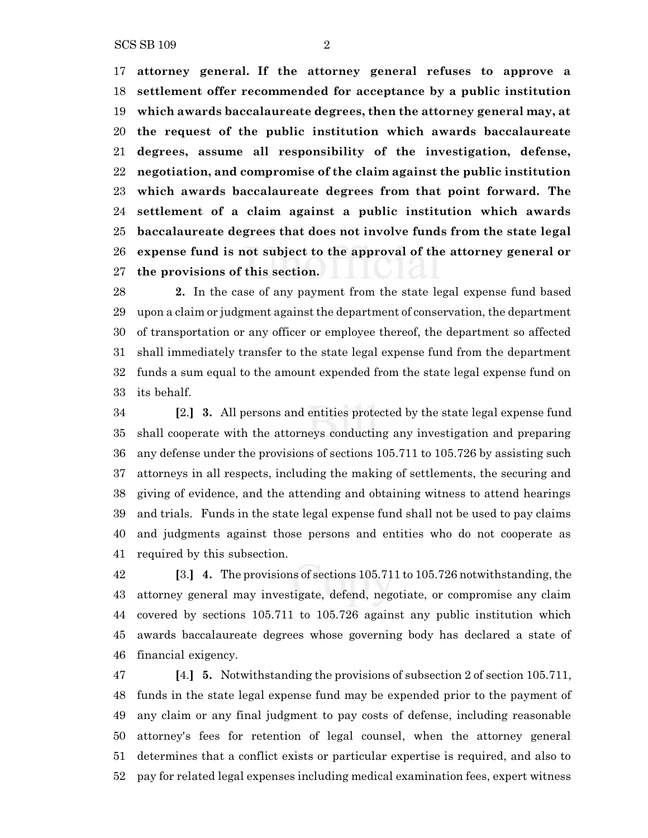SCS SB 109 2

 **attorney general. If the attorney general refuses to approve a settlement offer recommended for acceptance by a public institution which awards baccalaureate degrees, then the attorney general may, at the request of the public institution which awards baccalaureate degrees, assume all responsibility of the investigation, defense, negotiation, and compromise of the claim against the public institution which awards baccalaureate degrees from that point forward. The settlement of a claim against a public institution which awards baccalaureate degrees that does not involve funds from the state legal expense fund is not subject to the approval of the attorney general or the provisions of this section.**

 **2.** In the case of any payment from the state legal expense fund based upon a claim or judgment against the department of conservation, the department of transportation or any officer or employee thereof, the department so affected shall immediately transfer to the state legal expense fund from the department funds a sum equal to the amount expended from the state legal expense fund on its behalf.

 **[**2.**] 3.** All persons and entities protected by the state legal expense fund shall cooperate with the attorneys conducting any investigation and preparing any defense under the provisions of sections 105.711 to 105.726 by assisting such attorneys in all respects, including the making of settlements, the securing and giving of evidence, and the attending and obtaining witness to attend hearings and trials. Funds in the state legal expense fund shall not be used to pay claims and judgments against those persons and entities who do not cooperate as required by this subsection.

 **[**3.**] 4.** The provisions of sections 105.711 to 105.726 notwithstanding,the attorney general may investigate, defend, negotiate, or compromise any claim covered by sections 105.711 to 105.726 against any public institution which awards baccalaureate degrees whose governing body has declared a state of financial exigency.

 **[**4.**] 5.** Notwithstanding the provisions of subsection 2 of section 105.711, funds in the state legal expense fund may be expended prior to the payment of any claim or any final judgment to pay costs of defense, including reasonable attorney's fees for retention of legal counsel, when the attorney general determines that a conflict exists or particular expertise is required, and also to pay for related legal expenses including medical examination fees, expert witness